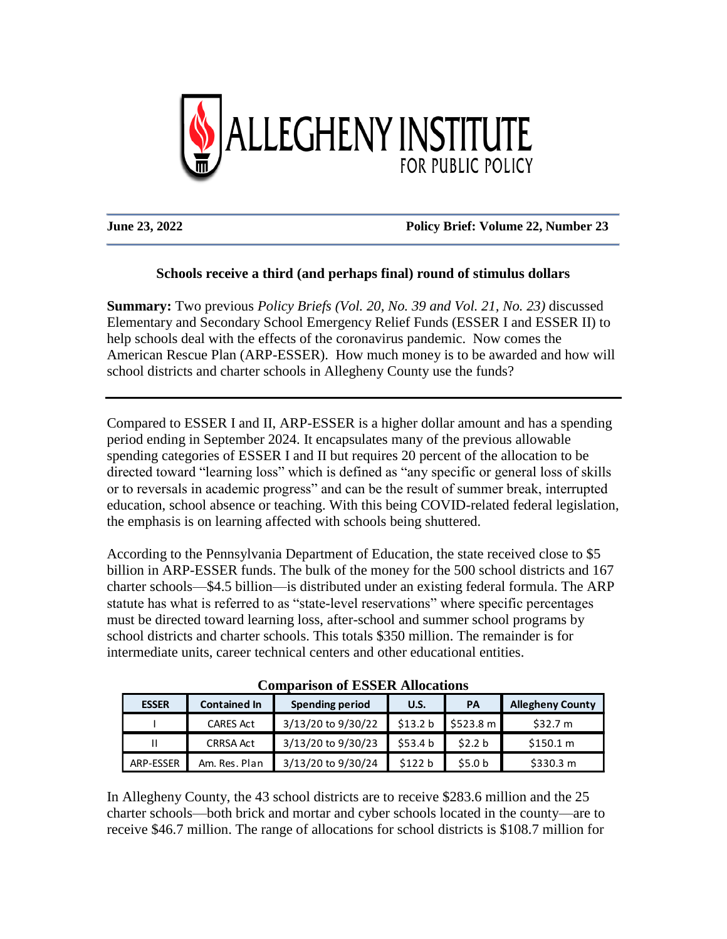

## **June 23, 2022 Policy Brief: Volume 22, Number 23**

# **Schools receive a third (and perhaps final) round of stimulus dollars**

**Summary:** Two previous *Policy Briefs (Vol. 20, No. 39 and Vol. 21, No. 23)* discussed Elementary and Secondary School Emergency Relief Funds (ESSER I and ESSER II) to help schools deal with the effects of the coronavirus pandemic. Now comes the American Rescue Plan (ARP-ESSER). How much money is to be awarded and how will school districts and charter schools in Allegheny County use the funds?

Compared to ESSER I and II, ARP-ESSER is a higher dollar amount and has a spending period ending in September 2024. It encapsulates many of the previous allowable spending categories of ESSER I and II but requires 20 percent of the allocation to be directed toward "learning loss" which is defined as "any specific or general loss of skills or to reversals in academic progress" and can be the result of summer break, interrupted education, school absence or teaching. With this being COVID-related federal legislation, the emphasis is on learning affected with schools being shuttered.

According to the Pennsylvania Department of Education, the state received close to \$5 billion in ARP-ESSER funds. The bulk of the money for the 500 school districts and 167 charter schools—\$4.5 billion—is distributed under an existing federal formula. The ARP statute has what is referred to as "state-level reservations" where specific percentages must be directed toward learning loss, after-school and summer school programs by school districts and charter schools. This totals \$350 million. The remainder is for intermediate units, career technical centers and other educational entities.

| <u>Communication of Euglidean Innocuration</u> |                     |                        |          |                    |                         |
|------------------------------------------------|---------------------|------------------------|----------|--------------------|-------------------------|
| <b>ESSER</b>                                   | <b>Contained In</b> | <b>Spending period</b> | U.S.     | <b>PA</b>          | <b>Allegheny County</b> |
|                                                | <b>CARES Act</b>    | 3/13/20 to 9/30/22     | \$13.2 b | \$523.8 m          | \$32.7 m                |
|                                                | <b>CRRSA Act</b>    | 3/13/20 to 9/30/23     | \$53.4 b | \$2.2 b            | \$150.1 m               |
| ARP-ESSER                                      | Am. Res. Plan       | 3/13/20 to 9/30/24     | \$122 b  | \$5.0 <sub>b</sub> | \$330.3 m               |

**Comparison of ESSER Allocations** 

In Allegheny County, the 43 school districts are to receive \$283.6 million and the 25 charter schools—both brick and mortar and cyber schools located in the county—are to receive \$46.7 million. The range of allocations for school districts is \$108.7 million for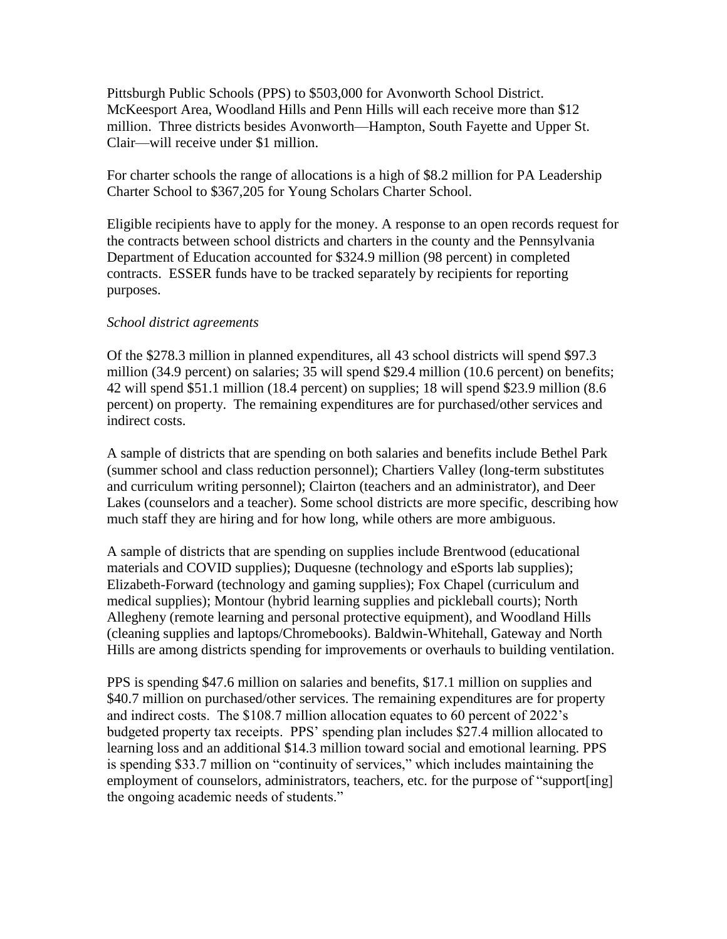Pittsburgh Public Schools (PPS) to \$503,000 for Avonworth School District. McKeesport Area, Woodland Hills and Penn Hills will each receive more than \$12 million. Three districts besides Avonworth—Hampton, South Fayette and Upper St. Clair—will receive under \$1 million.

For charter schools the range of allocations is a high of \$8.2 million for PA Leadership Charter School to \$367,205 for Young Scholars Charter School.

Eligible recipients have to apply for the money. A response to an open records request for the contracts between school districts and charters in the county and the Pennsylvania Department of Education accounted for \$324.9 million (98 percent) in completed contracts. ESSER funds have to be tracked separately by recipients for reporting purposes.

#### *School district agreements*

Of the \$278.3 million in planned expenditures, all 43 school districts will spend \$97.3 million (34.9 percent) on salaries; 35 will spend \$29.4 million (10.6 percent) on benefits; 42 will spend \$51.1 million (18.4 percent) on supplies; 18 will spend \$23.9 million (8.6 percent) on property. The remaining expenditures are for purchased/other services and indirect costs.

A sample of districts that are spending on both salaries and benefits include Bethel Park (summer school and class reduction personnel); Chartiers Valley (long-term substitutes and curriculum writing personnel); Clairton (teachers and an administrator), and Deer Lakes (counselors and a teacher). Some school districts are more specific, describing how much staff they are hiring and for how long, while others are more ambiguous.

A sample of districts that are spending on supplies include Brentwood (educational materials and COVID supplies); Duquesne (technology and eSports lab supplies); Elizabeth-Forward (technology and gaming supplies); Fox Chapel (curriculum and medical supplies); Montour (hybrid learning supplies and pickleball courts); North Allegheny (remote learning and personal protective equipment), and Woodland Hills (cleaning supplies and laptops/Chromebooks). Baldwin-Whitehall, Gateway and North Hills are among districts spending for improvements or overhauls to building ventilation.

PPS is spending \$47.6 million on salaries and benefits, \$17.1 million on supplies and \$40.7 million on purchased/other services. The remaining expenditures are for property and indirect costs. The \$108.7 million allocation equates to 60 percent of 2022's budgeted property tax receipts. PPS' spending plan includes \$27.4 million allocated to learning loss and an additional \$14.3 million toward social and emotional learning. PPS is spending \$33.7 million on "continuity of services," which includes maintaining the employment of counselors, administrators, teachers, etc. for the purpose of "support[ing] the ongoing academic needs of students."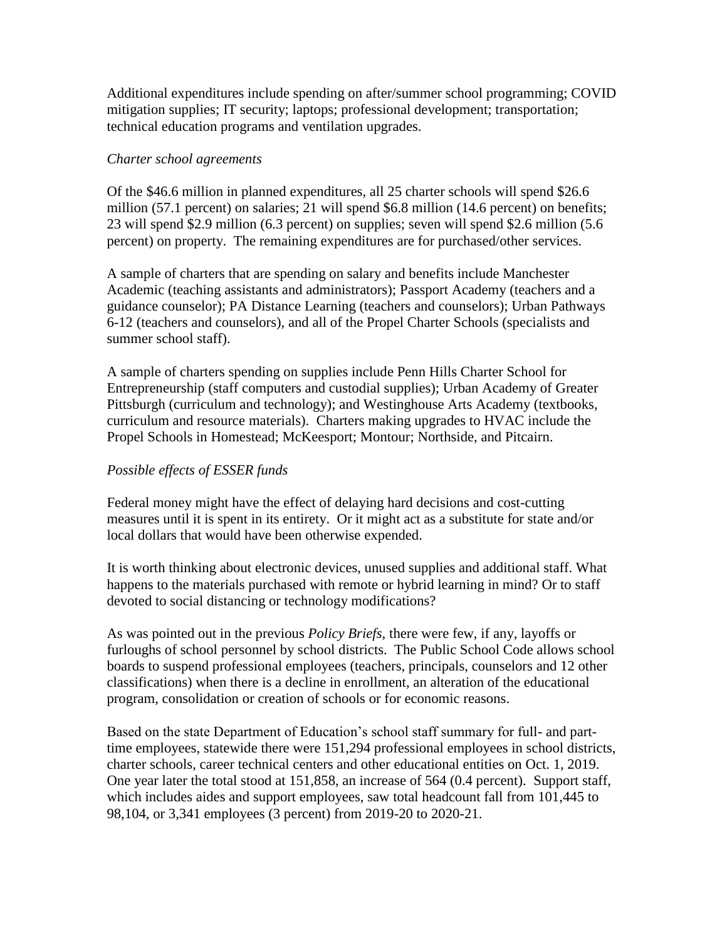Additional expenditures include spending on after/summer school programming; COVID mitigation supplies; IT security; laptops; professional development; transportation; technical education programs and ventilation upgrades.

### *Charter school agreements*

Of the \$46.6 million in planned expenditures, all 25 charter schools will spend \$26.6 million (57.1 percent) on salaries; 21 will spend \$6.8 million (14.6 percent) on benefits; 23 will spend \$2.9 million (6.3 percent) on supplies; seven will spend \$2.6 million (5.6 percent) on property. The remaining expenditures are for purchased/other services.

A sample of charters that are spending on salary and benefits include Manchester Academic (teaching assistants and administrators); Passport Academy (teachers and a guidance counselor); PA Distance Learning (teachers and counselors); Urban Pathways 6-12 (teachers and counselors), and all of the Propel Charter Schools (specialists and summer school staff).

A sample of charters spending on supplies include Penn Hills Charter School for Entrepreneurship (staff computers and custodial supplies); Urban Academy of Greater Pittsburgh (curriculum and technology); and Westinghouse Arts Academy (textbooks, curriculum and resource materials). Charters making upgrades to HVAC include the Propel Schools in Homestead; McKeesport; Montour; Northside, and Pitcairn.

# *Possible effects of ESSER funds*

Federal money might have the effect of delaying hard decisions and cost-cutting measures until it is spent in its entirety. Or it might act as a substitute for state and/or local dollars that would have been otherwise expended.

It is worth thinking about electronic devices, unused supplies and additional staff. What happens to the materials purchased with remote or hybrid learning in mind? Or to staff devoted to social distancing or technology modifications?

As was pointed out in the previous *Policy Briefs*, there were few, if any, layoffs or furloughs of school personnel by school districts. The Public School Code allows school boards to suspend professional employees (teachers, principals, counselors and 12 other classifications) when there is a decline in enrollment, an alteration of the educational program, consolidation or creation of schools or for economic reasons.

Based on the state Department of Education's school staff summary for full- and parttime employees, statewide there were 151,294 professional employees in school districts, charter schools, career technical centers and other educational entities on Oct. 1, 2019. One year later the total stood at 151,858, an increase of 564 (0.4 percent). Support staff, which includes aides and support employees, saw total headcount fall from 101,445 to 98,104, or 3,341 employees (3 percent) from 2019-20 to 2020-21.